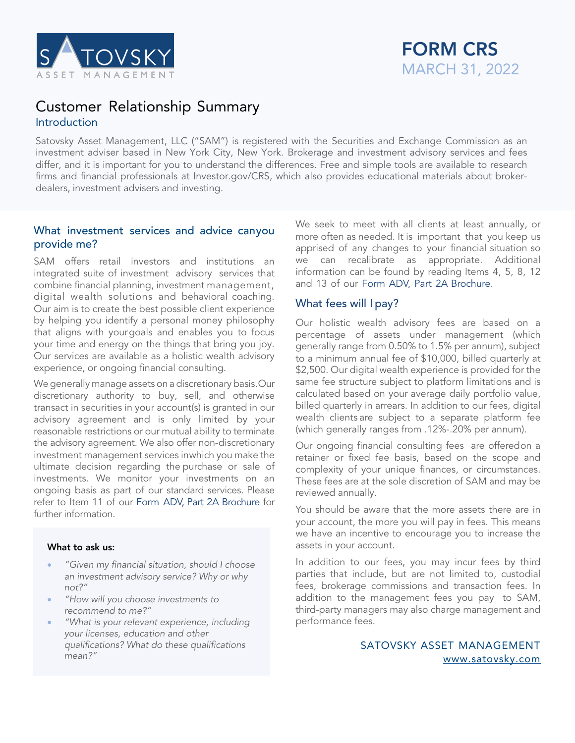

# FORM CRS MARCH 31, 2022

# Customer Relationship Summary **Introduction**

Satovsky Asset Management, LLC ("SAM") is registered with the Securities and Exchange Commission as an investment adviser based in New York City, New York. Brokerage and investment advisory services and fees differ, and it is important for you to understand the differences. Free and simple tools are available to research firms and financial professionals at Investor.gov/CRS, which also provides educational materials about brokerdealers, investment advisers and investing.

# What investment services and advice canyou provide me?

SAM offers retail investors and institutions an integrated suite of investment advisory services that combine financial planning, investment management, digital wealth solutions and behavioral coaching. Our aim is to create the best possible client experience by helping you identify a personal money philosophy that aligns with yourgoals and enables you to focus your time and energy on the things that bring you joy. Our services are available as a holistic wealth advisory experience, or ongoing financial consulting.

We generally manage assets on a discretionary basis.Our discretionary authority to buy, sell, and otherwise transact in securities in your account(s) is granted in our advisory agreement and is only limited by your reasonable restrictions or our mutual ability to terminate the advisory agreement. We also offer non-discretionary investment management services inwhich you make the ultimate decision regarding the purchase or sale of investments. We monitor your investments on an ongoing basis as part of our standard services. Please refer to Item 11 of our Form ADV, Part 2A Brochure for further information.

#### What to ask us:

- *"Given my financial situation, should I choose an investment advisory service? Why or why not?"*
- *"How will you choose investments to recommend to me?"*
- *"What is your relevant experience, including your licenses, education and other qualifications? What do these qualifications mean?"*

We seek to meet with all clients at least annually, or more often as needed. It is important that you keep us apprised of any changes to your financial situation so we can recalibrate as appropriate. Additional information can be found by reading Items 4, 5, 8, 12 and 13 of our Form ADV, Part 2A Brochure.

# What fees will Ipay?

Our holistic wealth advisory fees are based on a percentage of assets under management (which generally range from 0.50% to 1.5% per annum), subject to a minimum annual fee of \$10,000, billed quarterly at \$2,500. Our digital wealth experience is provided for the same fee structure subject to platform limitations and is calculated based on your average daily portfolio value, billed quarterly in arrears. In addition to our fees, digital wealth clients are subject to a separate platform fee (which generally ranges from .12%-.20% per annum).

Our ongoing financial consulting fees are offeredon a retainer or fixed fee basis, based on the scope and complexity of your unique finances, or circumstances. These fees are at the sole discretion of SAM and may be reviewed annually.

You should be aware that the more assets there are in your account, the more you will pay in fees. This means we have an incentive to encourage you to increase the assets in your account.

In addition to our fees, you may incur fees by third parties that include, but are not limited to, custodial fees, brokerage commissions and transaction fees. In addition to the management fees you pay to SAM, third-party managers may also charge management and performance fees.

> SATOVSKY ASSET MANAGEMENT www.satovsky.com